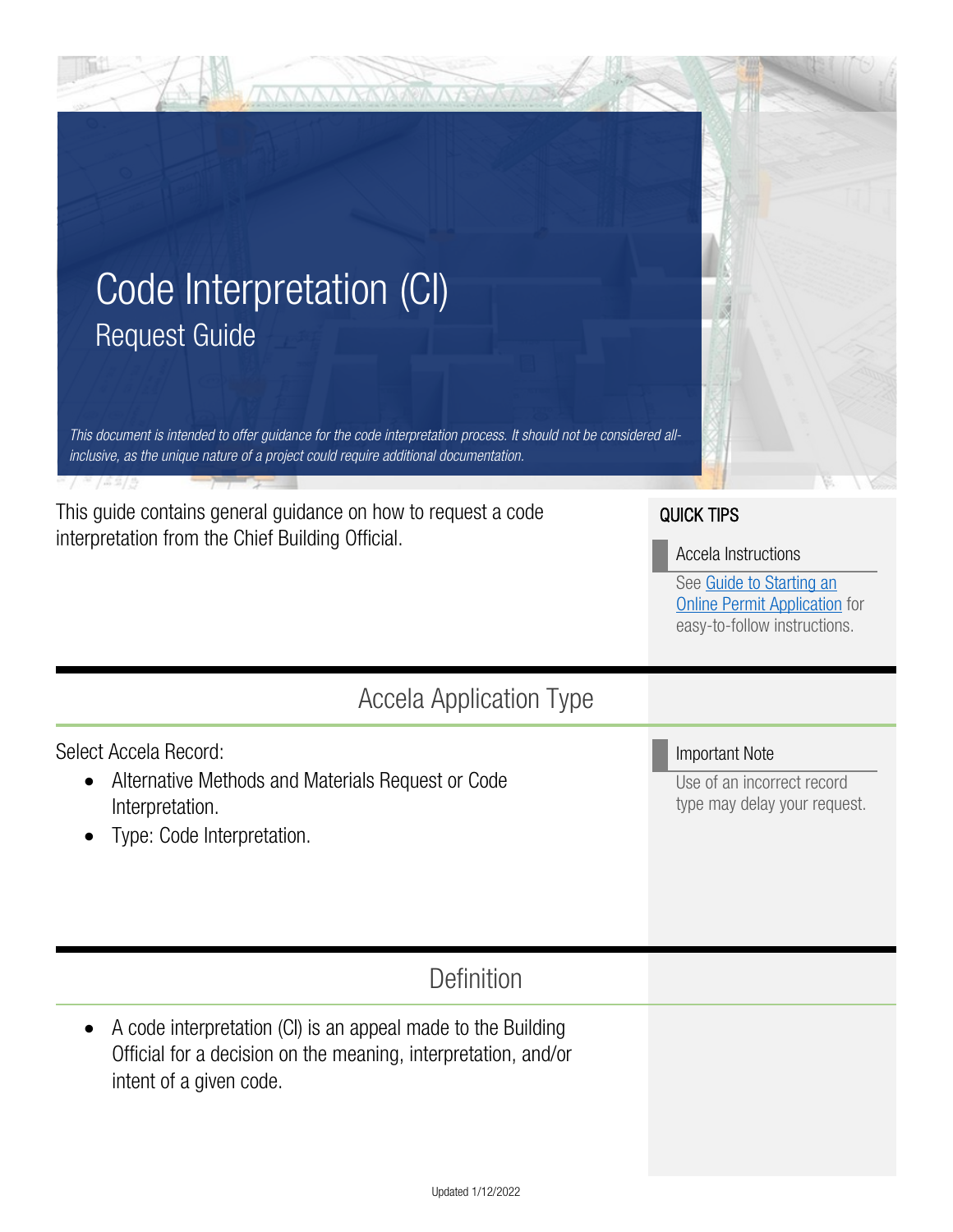